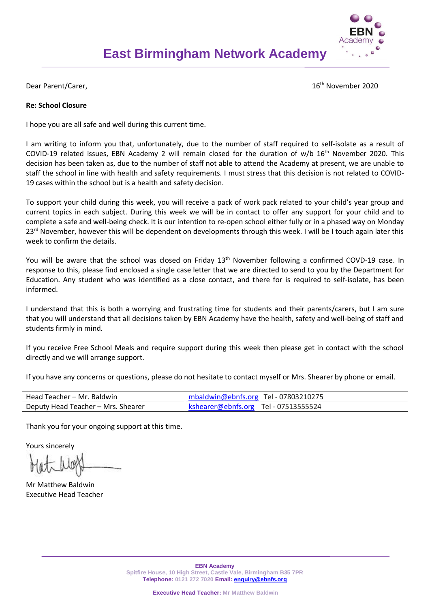

Dear Parent/Carer, 16th November 2020

## **Re: School Closure**

I hope you are all safe and well during this current time.

I am writing to inform you that, unfortunately, due to the number of staff required to self-isolate as a result of COVID-19 related issues, EBN Academy 2 will remain closed for the duration of w/b 16<sup>th</sup> November 2020. This decision has been taken as, due to the number of staff not able to attend the Academy at present, we are unable to staff the school in line with health and safety requirements. I must stress that this decision is not related to COVID-19 cases within the school but is a health and safety decision.

To support your child during this week, you will receive a pack of work pack related to your child's year group and current topics in each subject. During this week we will be in contact to offer any support for your child and to complete a safe and well-being check. It is our intention to re-open school either fully or in a phased way on Monday 23<sup>rd</sup> November, however this will be dependent on developments through this week. I will be I touch again later this week to confirm the details.

You will be aware that the school was closed on Friday 13<sup>th</sup> November following a confirmed COVD-19 case. In response to this, please find enclosed a single case letter that we are directed to send to you by the Department for Education. Any student who was identified as a close contact, and there for is required to self-isolate, has been informed.

I understand that this is both a worrying and frustrating time for students and their parents/carers, but I am sure that you will understand that all decisions taken by EBN Academy have the health, safety and well-being of staff and students firmly in mind.

If you receive Free School Meals and require support during this week then please get in contact with the school directly and we will arrange support.

If you have any concerns or questions, please do not hesitate to contact myself or Mrs. Shearer by phone or email.

| Head Teacher – Mr. Baldwin         | $m$ baldwin@ebnfs.org Tel - 07803210275             |
|------------------------------------|-----------------------------------------------------|
| Deputy Head Teacher – Mrs. Shearer | $\blacksquare$ kshearer@ebnfs.org Tel - 07513555524 |

Thank you for your ongoing support at this time.

Yours sincerely

Mr Matthew Baldwin Executive Head Teacher